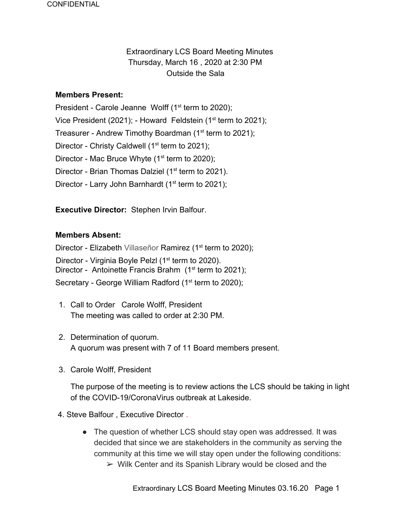# Extraordinary LCS Board Meeting Minutes Thursday, March 16 , 2020 at 2:30 PM Outside the Sala

#### **Members Present:**

President - Carole Jeanne Wolff  $(1<sup>st</sup>$  term to 2020); Vice President (2021); - Howard Feldstein (1<sup>st</sup> term to 2021); Treasurer - Andrew Timothy Boardman (1<sup>st</sup> term to 2021); Director - Christy Caldwell ( $1<sup>st</sup>$  term to 2021); Director - Mac Bruce Whyte  $(1<sup>st</sup>$  term to 2020); Director - Brian Thomas Dalziel (1<sup>st</sup> term to 2021). Director - Larry John Barnhardt ( $1<sup>st</sup>$  term to 2021);

**Executive Director:** Stephen Irvin Balfour.

### **Members Absent:**

Director - Elizabeth Villaseñor Ramirez (1<sup>st</sup> term to 2020);

Director - Virginia Boyle Pelzl (1<sup>st</sup> term to 2020).

Director - Antoinette Francis Brahm  $(1<sup>st</sup>$  term to 2021);

Secretary - George William Radford (1<sup>st</sup> term to 2020);

- 1. Call to Order Carole Wolff, President The meeting was called to order at 2:30 PM.
- 2. Determination of quorum. A quorum was present with 7 of 11 Board members present.
- 3. Carole Wolff, President

The purpose of the meeting is to review actions the LCS should be taking in light of the COVID-19/CoronaVirus outbreak at Lakeside.

- 4. Steve Balfour , Executive Director .
	- The question of whether LCS should stay open was addressed. It was decided that since we are stakeholders in the community as serving the community at this time we will stay open under the following conditions:
		- $\triangleright$  Wilk Center and its Spanish Library would be closed and the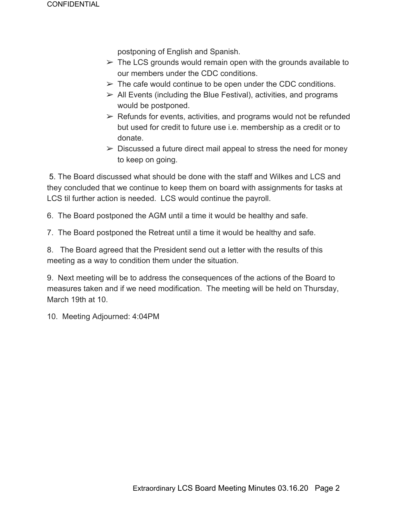postponing of English and Spanish.

- $\triangleright$  The LCS grounds would remain open with the grounds available to our members under the CDC conditions.
- $\triangleright$  The cafe would continue to be open under the CDC conditions.
- $\triangleright$  All Events (including the Blue Festival), activities, and programs would be postponed.
- $\triangleright$  Refunds for events, activities, and programs would not be refunded but used for credit to future use i.e. membership as a credit or to donate.
- $\triangleright$  Discussed a future direct mail appeal to stress the need for money to keep on going.

 5. The Board discussed what should be done with the staff and Wilkes and LCS and they concluded that we continue to keep them on board with assignments for tasks at LCS til further action is needed. LCS would continue the payroll.

6. The Board postponed the AGM until a time it would be healthy and safe.

7. The Board postponed the Retreat until a time it would be healthy and safe.

8. The Board agreed that the President send out a letter with the results of this meeting as a way to condition them under the situation.

9. Next meeting will be to address the consequences of the actions of the Board to measures taken and if we need modification. The meeting will be held on Thursday, March 19th at 10.

10. Meeting Adjourned: 4:04PM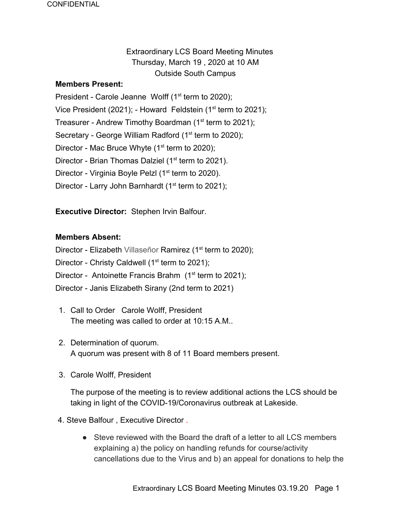# Extraordinary LCS Board Meeting Minutes Thursday, March 19 , 2020 at 10 AM Outside South Campus

#### **Members Present:**

President - Carole Jeanne Wolff  $(1<sup>st</sup>$  term to 2020); Vice President (2021); - Howard Feldstein (1<sup>st</sup> term to 2021); Treasurer - Andrew Timothy Boardman (1<sup>st</sup> term to 2021); Secretary - George William Radford (1<sup>st</sup> term to 2020); Director - Mac Bruce Whyte  $(1<sup>st</sup>$  term to 2020); Director - Brian Thomas Dalziel (1<sup>st</sup> term to 2021). Director - Virginia Boyle Pelzl (1<sup>st</sup> term to 2020). Director - Larry John Barnhardt ( $1<sup>st</sup>$  term to 2021);

**Executive Director:** Stephen Irvin Balfour.

#### **Members Absent:**

Director - Elizabeth Villaseñor Ramirez (1<sup>st</sup> term to 2020);

Director - Christy Caldwell ( $1<sup>st</sup>$  term to 2021);

- Director Antoinette Francis Brahm  $(1<sup>st</sup>$  term to 2021);
- Director Janis Elizabeth Sirany (2nd term to 2021)
- 1. Call to Order Carole Wolff, President The meeting was called to order at 10:15 A.M..
- 2. Determination of quorum. A quorum was present with 8 of 11 Board members present.
- 3. Carole Wolff, President

The purpose of the meeting is to review additional actions the LCS should be taking in light of the COVID-19/Coronavirus outbreak at Lakeside.

- 4. Steve Balfour , Executive Director .
	- Steve reviewed with the Board the draft of a letter to all LCS members explaining a) the policy on handling refunds for course/activity cancellations due to the Virus and b) an appeal for donations to help the